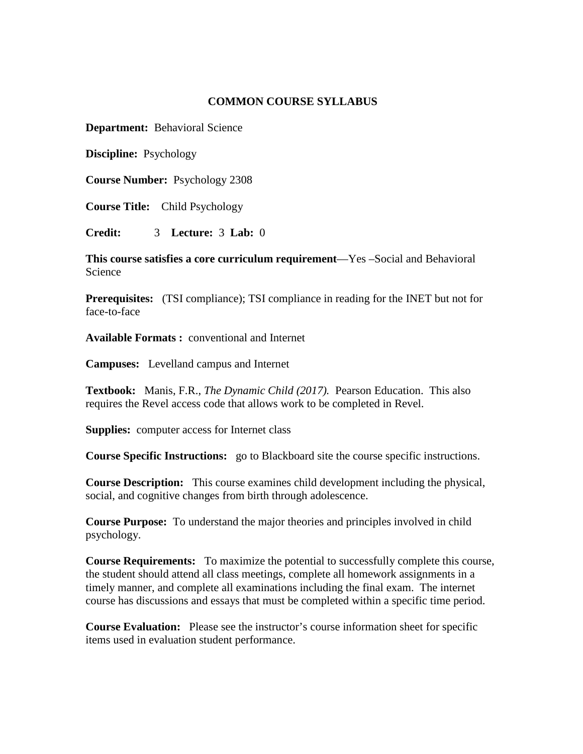### **COMMON COURSE SYLLABUS**

**Department:** Behavioral Science

**Discipline:** Psychology

**Course Number:** Psychology 2308

**Course Title:** Child Psychology

**Credit:** 3 **Lecture:** 3 **Lab:** 0

**This course satisfies a core curriculum requirement**—Yes –Social and Behavioral Science

**Prerequisites:** (TSI compliance); TSI compliance in reading for the INET but not for face-to-face

**Available Formats :** conventional and Internet

**Campuses:** Levelland campus and Internet

**Textbook:** Manis, F.R., *The Dynamic Child (2017).* Pearson Education. This also requires the Revel access code that allows work to be completed in Revel.

**Supplies:** computer access for Internet class

**Course Specific Instructions:** go to Blackboard site the course specific instructions.

**Course Description:** This course examines child development including the physical, social, and cognitive changes from birth through adolescence.

**Course Purpose:** To understand the major theories and principles involved in child psychology.

**Course Requirements:** To maximize the potential to successfully complete this course, the student should attend all class meetings, complete all homework assignments in a timely manner, and complete all examinations including the final exam. The internet course has discussions and essays that must be completed within a specific time period.

**Course Evaluation:** Please see the instructor's course information sheet for specific items used in evaluation student performance.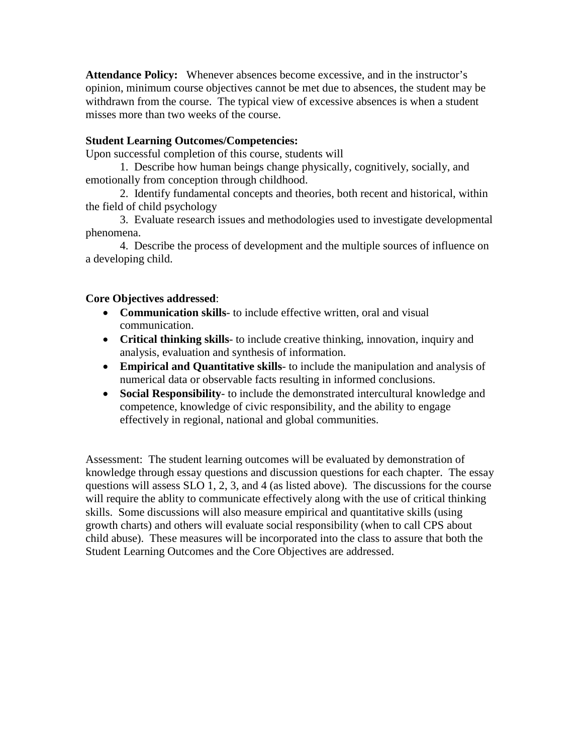**Attendance Policy:** Whenever absences become excessive, and in the instructor's opinion, minimum course objectives cannot be met due to absences, the student may be withdrawn from the course. The typical view of excessive absences is when a student misses more than two weeks of the course.

## **Student Learning Outcomes/Competencies:**

Upon successful completion of this course, students will

1. Describe how human beings change physically, cognitively, socially, and emotionally from conception through childhood.

2. Identify fundamental concepts and theories, both recent and historical, within the field of child psychology

3. Evaluate research issues and methodologies used to investigate developmental phenomena.

4. Describe the process of development and the multiple sources of influence on a developing child.

### **Core Objectives addressed**:

- **Communication skills** to include effective written, oral and visual communication.
- **Critical thinking skills** to include creative thinking, innovation, inquiry and analysis, evaluation and synthesis of information.
- **Empirical and Quantitative skills** to include the manipulation and analysis of numerical data or observable facts resulting in informed conclusions.
- **Social Responsibility** to include the demonstrated intercultural knowledge and competence, knowledge of civic responsibility, and the ability to engage effectively in regional, national and global communities.

Assessment: The student learning outcomes will be evaluated by demonstration of knowledge through essay questions and discussion questions for each chapter. The essay questions will assess SLO 1, 2, 3, and 4 (as listed above). The discussions for the course will require the ablity to communicate effectively along with the use of critical thinking skills. Some discussions will also measure empirical and quantitative skills (using growth charts) and others will evaluate social responsibility (when to call CPS about child abuse). These measures will be incorporated into the class to assure that both the Student Learning Outcomes and the Core Objectives are addressed.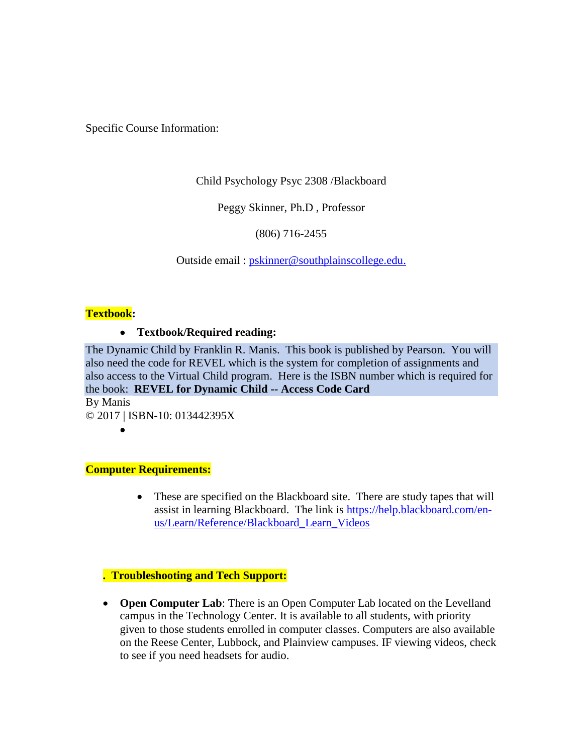Specific Course Information:

Child Psychology Psyc 2308 /Blackboard

Peggy Skinner, Ph.D , Professor

(806) 716-2455

Outside email : [pskinner@southplainscollege.edu.](mailto:pskinner@southplainscollege.edu)

### **Textbook:**

### • **Textbook/Required reading:**

The Dynamic Child by Franklin R. Manis. This book is published by Pearson. You will also need the code for REVEL which is the system for completion of assignments and also access to the Virtual Child program. Here is the ISBN number which is required for the book: **REVEL for Dynamic Child -- Access Code Card**

By Manis © 2017 | ISBN-10: 013442395X

•

#### **Computer Requirements:**

• These are specified on the Blackboard site. There are study tapes that will assist in learning Blackboard. The link is [https://help.blackboard.com/en](https://help.blackboard.com/en-us/Learn/Reference/Blackboard_Learn_Videos)[us/Learn/Reference/Blackboard\\_Learn\\_Videos](https://help.blackboard.com/en-us/Learn/Reference/Blackboard_Learn_Videos)

# **. Troubleshooting and Tech Support:**

• **Open Computer Lab**: There is an Open Computer Lab located on the Levelland campus in the Technology Center. It is available to all students, with priority given to those students enrolled in computer classes. Computers are also available on the Reese Center, Lubbock, and Plainview campuses. IF viewing videos, check to see if you need headsets for audio.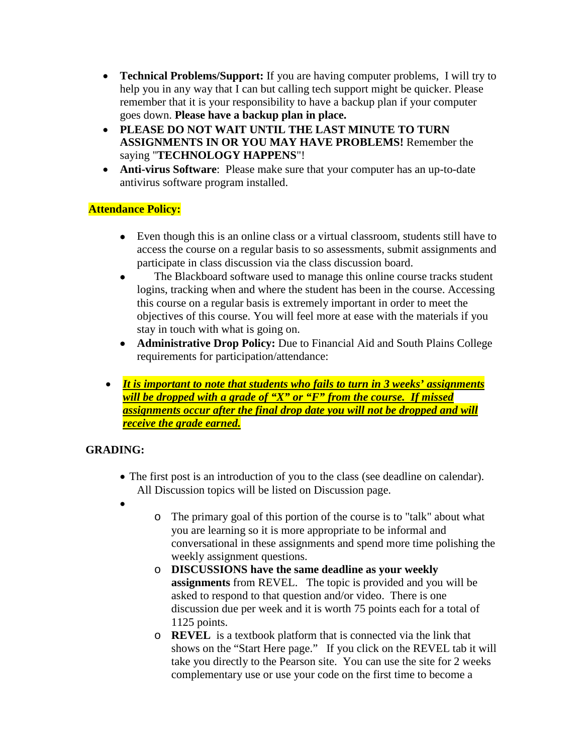- **Technical Problems/Support:** If you are having computer problems, I will try to help you in any way that I can but calling tech support might be quicker. Please remember that it is your responsibility to have a backup plan if your computer goes down. **Please have a backup plan in place.**
- **PLEASE DO NOT WAIT UNTIL THE LAST MINUTE TO TURN ASSIGNMENTS IN OR YOU MAY HAVE PROBLEMS!** Remember the saying "**TECHNOLOGY HAPPENS**"!
- **Anti-virus Software**: Please make sure that your computer has an up-to-date antivirus software program installed.

# **Attendance Policy:**

- Even though this is an online class or a virtual classroom, students still have to access the course on a regular basis to so assessments, submit assignments and participate in class discussion via the class discussion board.
- The Blackboard software used to manage this online course tracks student logins, tracking when and where the student has been in the course. Accessing this course on a regular basis is extremely important in order to meet the objectives of this course. You will feel more at ease with the materials if you stay in touch with what is going on.
- **Administrative Drop Policy:** Due to Financial Aid and South Plains College requirements for participation/attendance:
- *It is important to note that students who fails to turn in 3 weeks' assignments will be dropped with a grade of "X" or "F" from the course. If missed assignments occur after the final drop date you will not be dropped and will receive the grade earned.*

# **GRADING:**

- The first post is an introduction of you to the class (see deadline on calendar). All Discussion topics will be listed on Discussion page.
- •
- o The primary goal of this portion of the course is to "talk" about what you are learning so it is more appropriate to be informal and conversational in these assignments and spend more time polishing the weekly assignment questions.
- o **DISCUSSIONS have the same deadline as your weekly assignments** from REVEL. The topic is provided and you will be asked to respond to that question and/or video. There is one discussion due per week and it is worth 75 points each for a total of 1125 points.
- o **REVEL** is a textbook platform that is connected via the link that shows on the "Start Here page." If you click on the REVEL tab it will take you directly to the Pearson site. You can use the site for 2 weeks complementary use or use your code on the first time to become a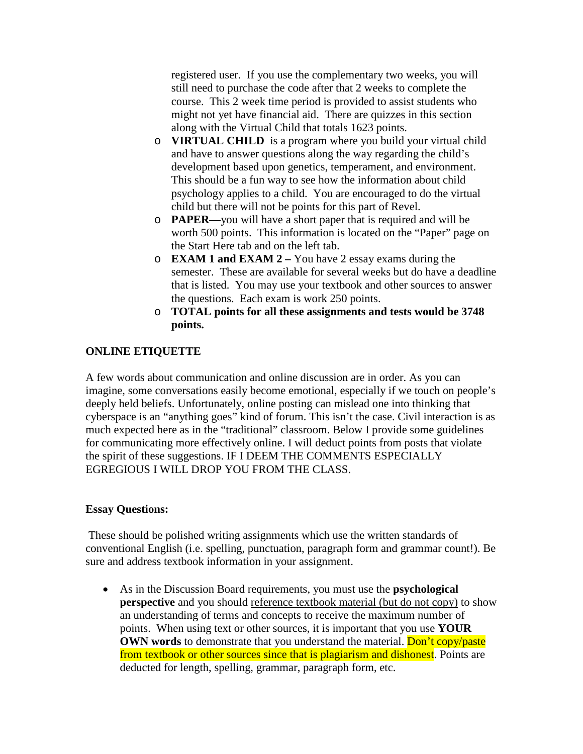registered user. If you use the complementary two weeks, you will still need to purchase the code after that 2 weeks to complete the course. This 2 week time period is provided to assist students who might not yet have financial aid. There are quizzes in this section along with the Virtual Child that totals 1623 points.

- o **VIRTUAL CHILD** is a program where you build your virtual child and have to answer questions along the way regarding the child's development based upon genetics, temperament, and environment. This should be a fun way to see how the information about child psychology applies to a child. You are encouraged to do the virtual child but there will not be points for this part of Revel.
- o **PAPER—**you will have a short paper that is required and will be worth 500 points. This information is located on the "Paper" page on the Start Here tab and on the left tab.
- o **EXAM 1 and EXAM 2 –** You have 2 essay exams during the semester. These are available for several weeks but do have a deadline that is listed. You may use your textbook and other sources to answer the questions. Each exam is work 250 points.
- o **TOTAL points for all these assignments and tests would be 3748 points.**

# **ONLINE ETIQUETTE**

A few words about communication and online discussion are in order. As you can imagine, some conversations easily become emotional, especially if we touch on people's deeply held beliefs. Unfortunately, online posting can mislead one into thinking that cyberspace is an "anything goes" kind of forum. This isn't the case. Civil interaction is as much expected here as in the "traditional" classroom. Below I provide some guidelines for communicating more effectively online. I will deduct points from posts that violate the spirit of these suggestions. IF I DEEM THE COMMENTS ESPECIALLY EGREGIOUS I WILL DROP YOU FROM THE CLASS.

#### **Essay Questions:**

These should be polished writing assignments which use the written standards of conventional English (i.e. spelling, punctuation, paragraph form and grammar count!). Be sure and address textbook information in your assignment.

• As in the Discussion Board requirements, you must use the **psychological perspective** and you should reference textbook material (but do not copy) to show an understanding of terms and concepts to receive the maximum number of points. When using text or other sources, it is important that you use **YOUR OWN words** to demonstrate that you understand the material. Don't copy/paste from textbook or other sources since that is plagiarism and dishonest. Points are deducted for length, spelling, grammar, paragraph form, etc.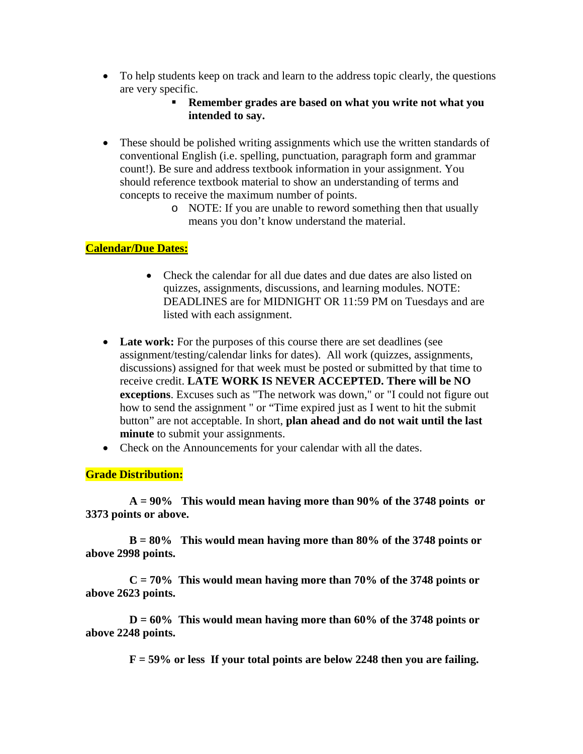- To help students keep on track and learn to the address topic clearly, the questions are very specific.
	- **Remember grades are based on what you write not what you intended to say.**
- These should be polished writing assignments which use the written standards of conventional English (i.e. spelling, punctuation, paragraph form and grammar count!). Be sure and address textbook information in your assignment. You should reference textbook material to show an understanding of terms and concepts to receive the maximum number of points.
	- o NOTE: If you are unable to reword something then that usually means you don't know understand the material.

# **Calendar/Due Dates:**

- Check the calendar for all due dates and due dates are also listed on quizzes, assignments, discussions, and learning modules. NOTE: DEADLINES are for MIDNIGHT OR 11:59 PM on Tuesdays and are listed with each assignment.
- Late work: For the purposes of this course there are set deadlines (see assignment/testing/calendar links for dates). All work (quizzes, assignments, discussions) assigned for that week must be posted or submitted by that time to receive credit. **LATE WORK IS NEVER ACCEPTED. There will be NO exceptions**. Excuses such as "The network was down," or "I could not figure out how to send the assignment " or "Time expired just as I went to hit the submit button" are not acceptable. In short, **plan ahead and do not wait until the last minute** to submit your assignments.
- Check on the Announcements for your calendar with all the dates.

**Grade Distribution:**

**A = 90% This would mean having more than 90% of the 3748 points or 3373 points or above.**

**B = 80% This would mean having more than 80% of the 3748 points or above 2998 points.** 

**C = 70% This would mean having more than 70% of the 3748 points or above 2623 points.** 

**D = 60% This would mean having more than 60% of the 3748 points or above 2248 points.**

**F = 59% or less If your total points are below 2248 then you are failing.**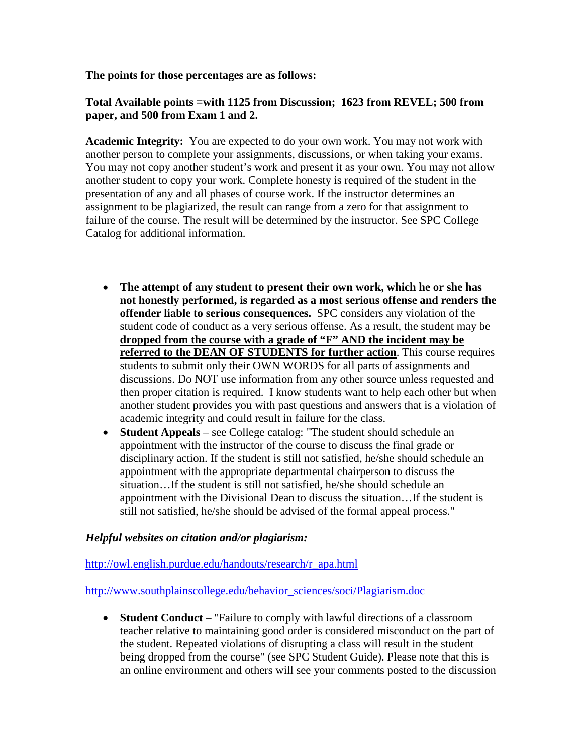**The points for those percentages are as follows:**

### **Total Available points =with 1125 from Discussion; 1623 from REVEL; 500 from paper, and 500 from Exam 1 and 2.**

**Academic Integrity:** You are expected to do your own work. You may not work with another person to complete your assignments, discussions, or when taking your exams. You may not copy another student's work and present it as your own. You may not allow another student to copy your work. Complete honesty is required of the student in the presentation of any and all phases of course work. If the instructor determines an assignment to be plagiarized, the result can range from a zero for that assignment to failure of the course. The result will be determined by the instructor. See SPC College Catalog for additional information.

- **The attempt of any student to present their own work, which he or she has not honestly performed, is regarded as a most serious offense and renders the offender liable to serious consequences.** SPC considers any violation of the student code of conduct as a very serious offense. As a result, the student may be **dropped from the course with a grade of "F" AND the incident may be referred to the DEAN OF STUDENTS for further action**. This course requires students to submit only their OWN WORDS for all parts of assignments and discussions. Do NOT use information from any other source unless requested and then proper citation is required. I know students want to help each other but when another student provides you with past questions and answers that is a violation of academic integrity and could result in failure for the class.
- **Student Appeals** see College catalog: "The student should schedule an appointment with the instructor of the course to discuss the final grade or disciplinary action. If the student is still not satisfied, he/she should schedule an appointment with the appropriate departmental chairperson to discuss the situation…If the student is still not satisfied, he/she should schedule an appointment with the Divisional Dean to discuss the situation…If the student is still not satisfied, he/she should be advised of the formal appeal process."

#### *Helpful websites on citation and/or plagiarism:*

[http://owl.english.purdue.edu/handouts/research/r\\_apa.html](http://owl.english.purdue.edu/handouts/research/r_apa.html)

[http://www.southplainscollege.edu/behavior\\_sciences/soci/Plagiarism.doc](http://www.southplainscollege.edu/behavior_sciences/soci/Plagiarism.doc)

• **Student Conduct** – "Failure to comply with lawful directions of a classroom teacher relative to maintaining good order is considered misconduct on the part of the student. Repeated violations of disrupting a class will result in the student being dropped from the course" (see SPC Student Guide). Please note that this is an online environment and others will see your comments posted to the discussion